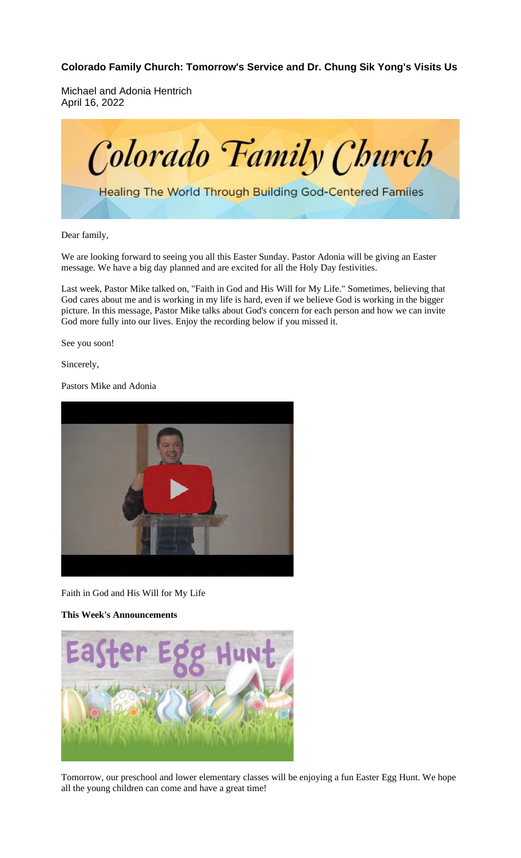**Colorado Family Church: Tomorrow's Service and Dr. Chung Sik Yong's Visits Us**

Michael and Adonia Hentrich April 16, 2022



Dear family,

We are looking forward to seeing you all this Easter Sunday. Pastor Adonia will be giving an Easter message. We have a big day planned and are excited for all the Holy Day festivities.

Last week, Pastor Mike talked on, "Faith in God and His Will for My Life." Sometimes, believing that God cares about me and is working in my life is hard, even if we believe God is working in the bigger picture. In this message, Pastor Mike talks about God's concern for each person and how we can invite God more fully into our lives. Enjoy the recording below if you missed it.

See you soon!

Sincerely,

Pastors Mike and Adonia



Faith in God and His Will for My Life

**This Week's Announcements**



Tomorrow, our preschool and lower elementary classes will be enjoying a fun Easter Egg Hunt. We hope all the young children can come and have a great time!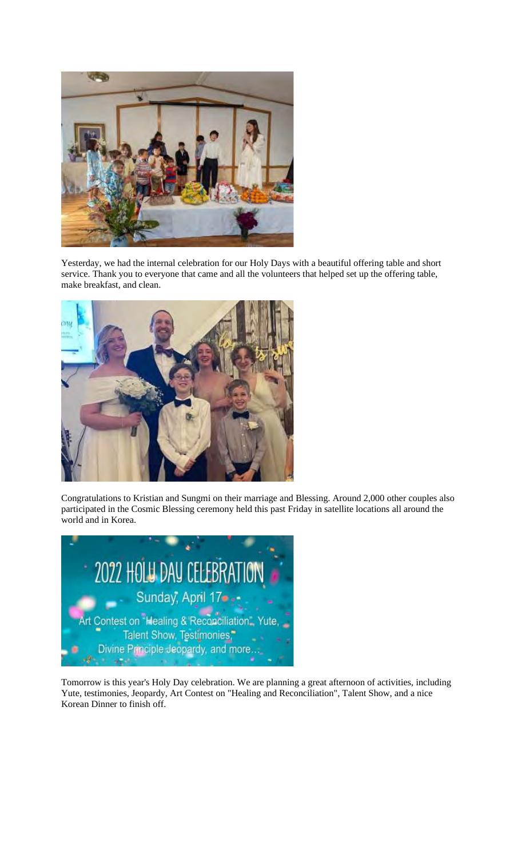

Yesterday, we had the internal celebration for our Holy Days with a beautiful offering table and short service. Thank you to everyone that came and all the volunteers that helped set up the offering table, make breakfast, and clean.



Congratulations to Kristian and Sungmi on their marriage and Blessing. Around 2,000 other couples also participated in the Cosmic Blessing ceremony held this past Friday in satellite locations all around the world and in Korea.



Tomorrow is this year's Holy Day celebration. We are planning a great afternoon of activities, including Yute, testimonies, Jeopardy, Art Contest on "Healing and Reconciliation", Talent Show, and a nice Korean Dinner to finish off.